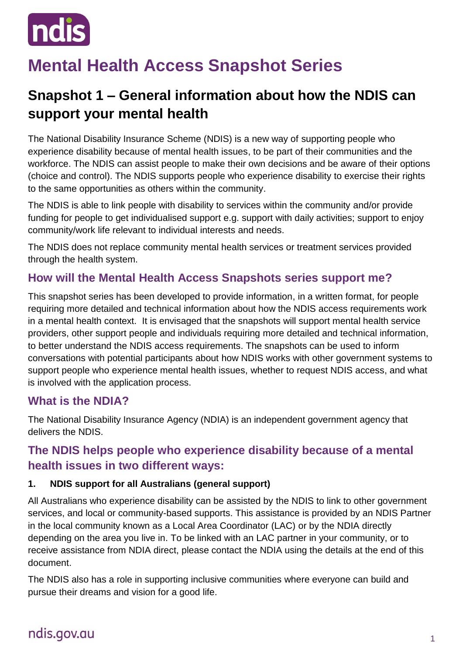

# **Mental Health Access Snapshot Series**

# **Snapshot 1 – General information about how the NDIS can support your mental health**

The National Disability Insurance Scheme (NDIS) is a new way of supporting people who experience disability because of mental health issues, to be part of their communities and the workforce. The NDIS can assist people to make their own decisions and be aware of their options (choice and control). The NDIS supports people who experience disability to exercise their rights to the same opportunities as others within the community.

The NDIS is able to link people with disability to services within the community and/or provide funding for people to get individualised support e.g. support with daily activities; support to enjoy community/work life relevant to individual interests and needs.

The NDIS does not replace community mental health services or treatment services provided through the health system.

## **How will the Mental Health Access Snapshots series support me?**

This snapshot series has been developed to provide information, in a written format, for people requiring more detailed and technical information about how the NDIS access requirements work in a mental health context. It is envisaged that the snapshots will support mental health service providers, other support people and individuals requiring more detailed and technical information, to better understand the NDIS access requirements. The snapshots can be used to inform conversations with potential participants about how NDIS works with other government systems to support people who experience mental health issues, whether to request NDIS access, and what is involved with the application process.

## **What is the NDIA?**

The National Disability Insurance Agency (NDIA) is an independent government agency that delivers the NDIS.

## **The NDIS helps people who experience disability because of a mental health issues in two different ways:**

#### **1. NDIS support for all Australians (general support)**

All Australians who experience disability can be assisted by the NDIS to link to other government services, and local or community-based supports. This assistance is provided by an NDIS Partner in the local community known as a Local Area Coordinator (LAC) or by the NDIA directly depending on the area you live in. To be linked with an LAC partner in your community, or to receive assistance from NDIA direct, please contact the NDIA using the details at the end of this document.

The NDIS also has a role in supporting inclusive communities where everyone can build and pursue their dreams and vision for a good life.

# ndis.gov.au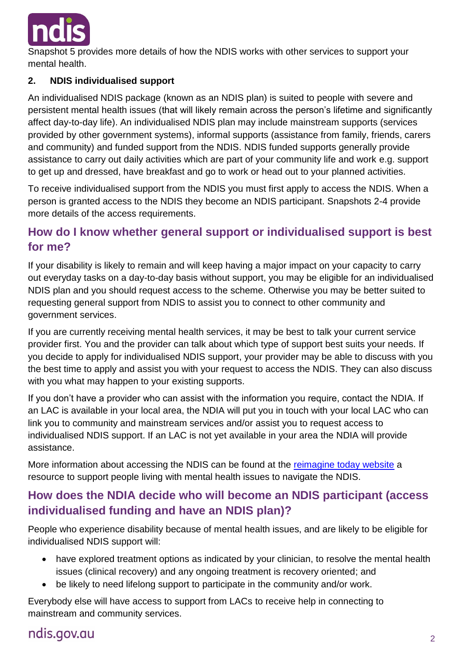

Snapshot 5 provides more details of how the NDIS works with other services to support your mental health.

#### **2. NDIS individualised support**

An individualised NDIS package (known as an NDIS plan) is suited to people with severe and persistent mental health issues (that will likely remain across the person's lifetime and significantly affect day-to-day life). An individualised NDIS plan may include mainstream supports (services provided by other government systems), informal supports (assistance from family, friends, carers and community) and funded support from the NDIS. NDIS funded supports generally provide assistance to carry out daily activities which are part of your community life and work e.g. support to get up and dressed, have breakfast and go to work or head out to your planned activities.

To receive individualised support from the NDIS you must first apply to access the NDIS. When a person is granted access to the NDIS they become an NDIS participant. Snapshots 2-4 provide more details of the access requirements.

## **How do I know whether general support or individualised support is best for me?**

If your disability is likely to remain and will keep having a major impact on your capacity to carry out everyday tasks on a day-to-day basis without support, you may be eligible for an individualised NDIS plan and you should request access to the scheme. Otherwise you may be better suited to requesting general support from NDIS to assist you to connect to other community and government services.

If you are currently receiving mental health services, it may be best to talk your current service provider first. You and the provider can talk about which type of support best suits your needs. If you decide to apply for individualised NDIS support, your provider may be able to discuss with you the best time to apply and assist you with your request to access the NDIS. They can also discuss with you what may happen to your existing supports.

If you don't have a provider who can assist with the information you require, contact the NDIA. If an LAC is available in your local area, the NDIA will put you in touch with your local LAC who can link you to community and mainstream services and/or assist you to request access to individualised NDIS support. If an LAC is not yet available in your area the NDIA will provide assistance.

More information about accessing the NDIS can be found at the [reimagine today website](http://reimagine.today/) a resource to support people living with mental health issues to navigate the NDIS.

## **How does the NDIA decide who will become an NDIS participant (access individualised funding and have an NDIS plan)?**

People who experience disability because of mental health issues, and are likely to be eligible for individualised NDIS support will:

- have explored treatment options as indicated by your clinician, to resolve the mental health issues (clinical recovery) and any ongoing treatment is recovery oriented; and
- be likely to need lifelong support to participate in the community and/or work.

Everybody else will have access to support from LACs to receive help in connecting to mainstream and community services.

# ndis.gov.au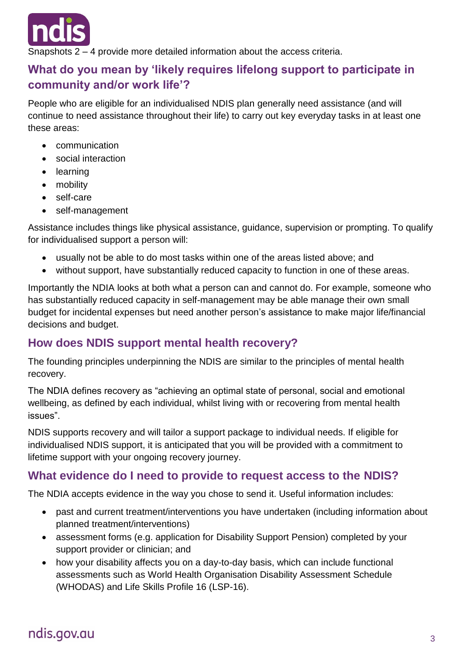

Snapshots 2 – 4 provide more detailed information about the access criteria.

## **What do you mean by 'likely requires lifelong support to participate in community and/or work life'?**

People who are eligible for an individualised NDIS plan generally need assistance (and will continue to need assistance throughout their life) to carry out key everyday tasks in at least one these areas:

- communication
- social interaction
- learning
- mobility
- self-care
- self-management

Assistance includes things like physical assistance, guidance, supervision or prompting. To qualify for individualised support a person will:

- usually not be able to do most tasks within one of the areas listed above; and
- without support, have substantially reduced capacity to function in one of these areas.

Importantly the NDIA looks at both what a person can and cannot do. For example, someone who has substantially reduced capacity in self-management may be able manage their own small budget for incidental expenses but need another person's assistance to make major life/financial decisions and budget.

## **How does NDIS support mental health recovery?**

The founding principles underpinning the NDIS are similar to the principles of mental health recovery.

The NDIA defines recovery as "achieving an optimal state of personal, social and emotional wellbeing, as defined by each individual, whilst living with or recovering from mental health issues".

NDIS supports recovery and will tailor a support package to individual needs. If eligible for individualised NDIS support, it is anticipated that you will be provided with a commitment to lifetime support with your ongoing recovery journey.

## **What evidence do I need to provide to request access to the NDIS?**

The NDIA accepts evidence in the way you chose to send it. Useful information includes:

- past and current treatment/interventions you have undertaken (including information about planned treatment/interventions)
- assessment forms (e.g. application for Disability Support Pension) completed by your support provider or clinician; and
- how your disability affects you on a day-to-day basis, which can include functional assessments such as World Health Organisation Disability Assessment Schedule (WHODAS) and Life Skills Profile 16 (LSP-16).

# ndis.gov.au